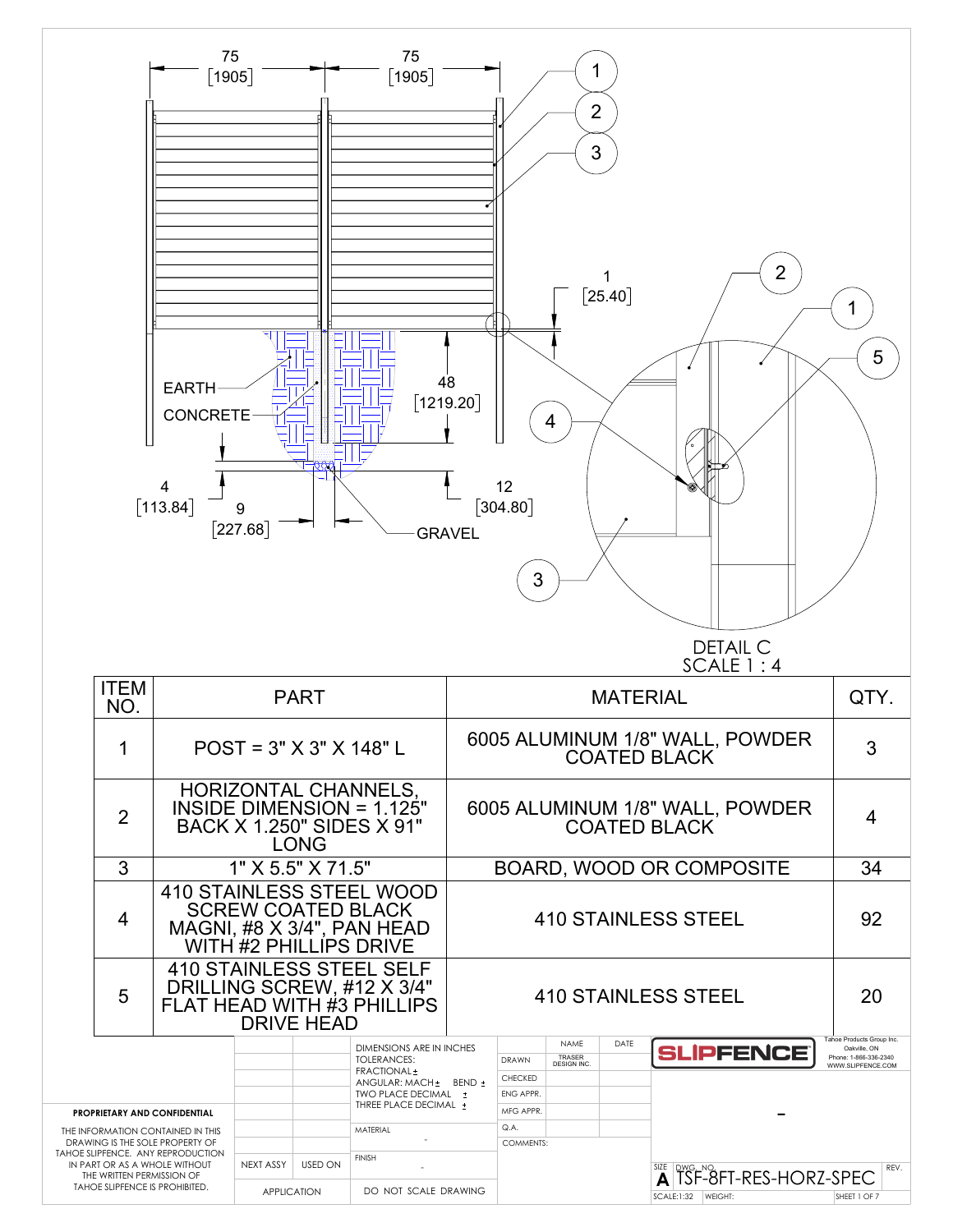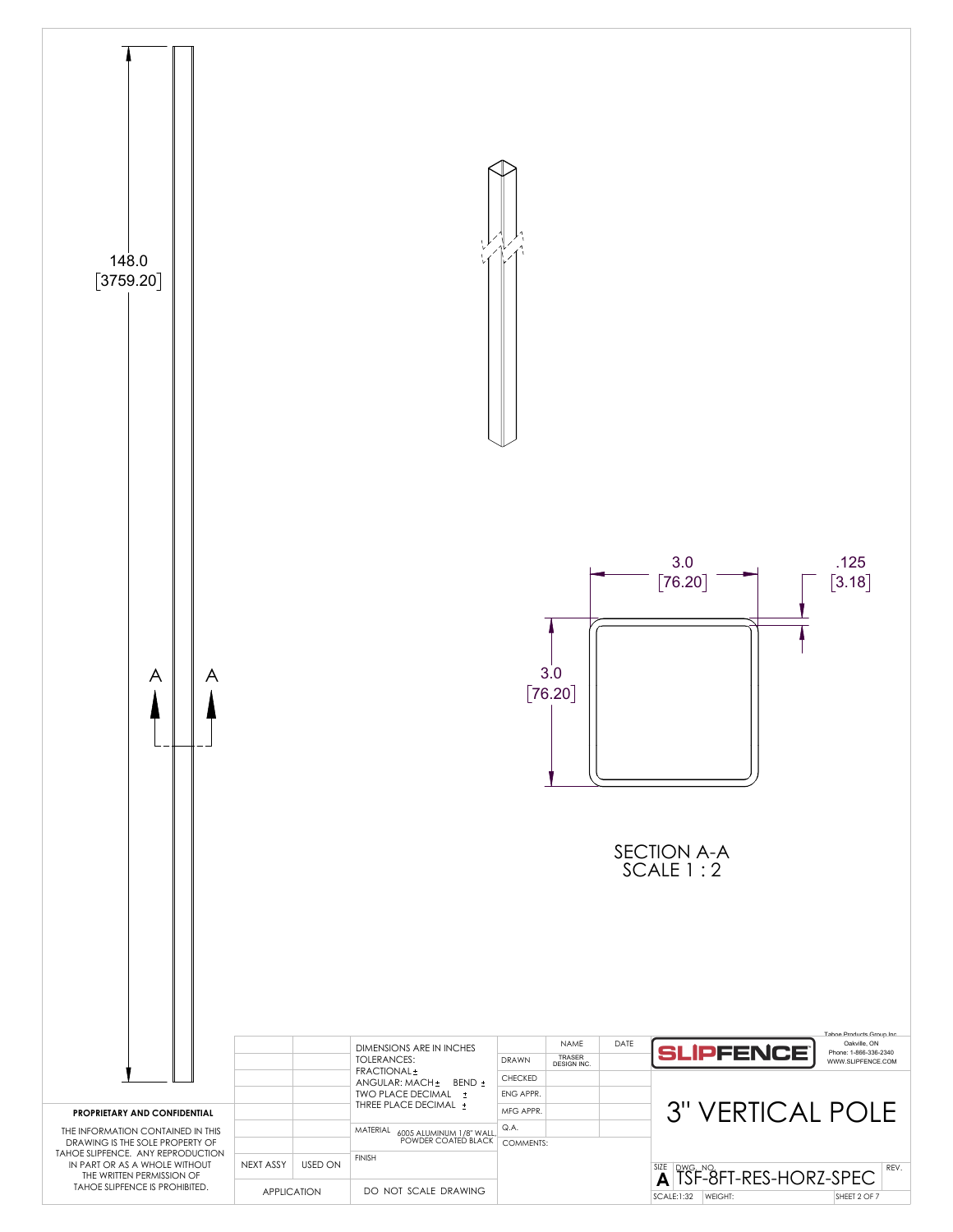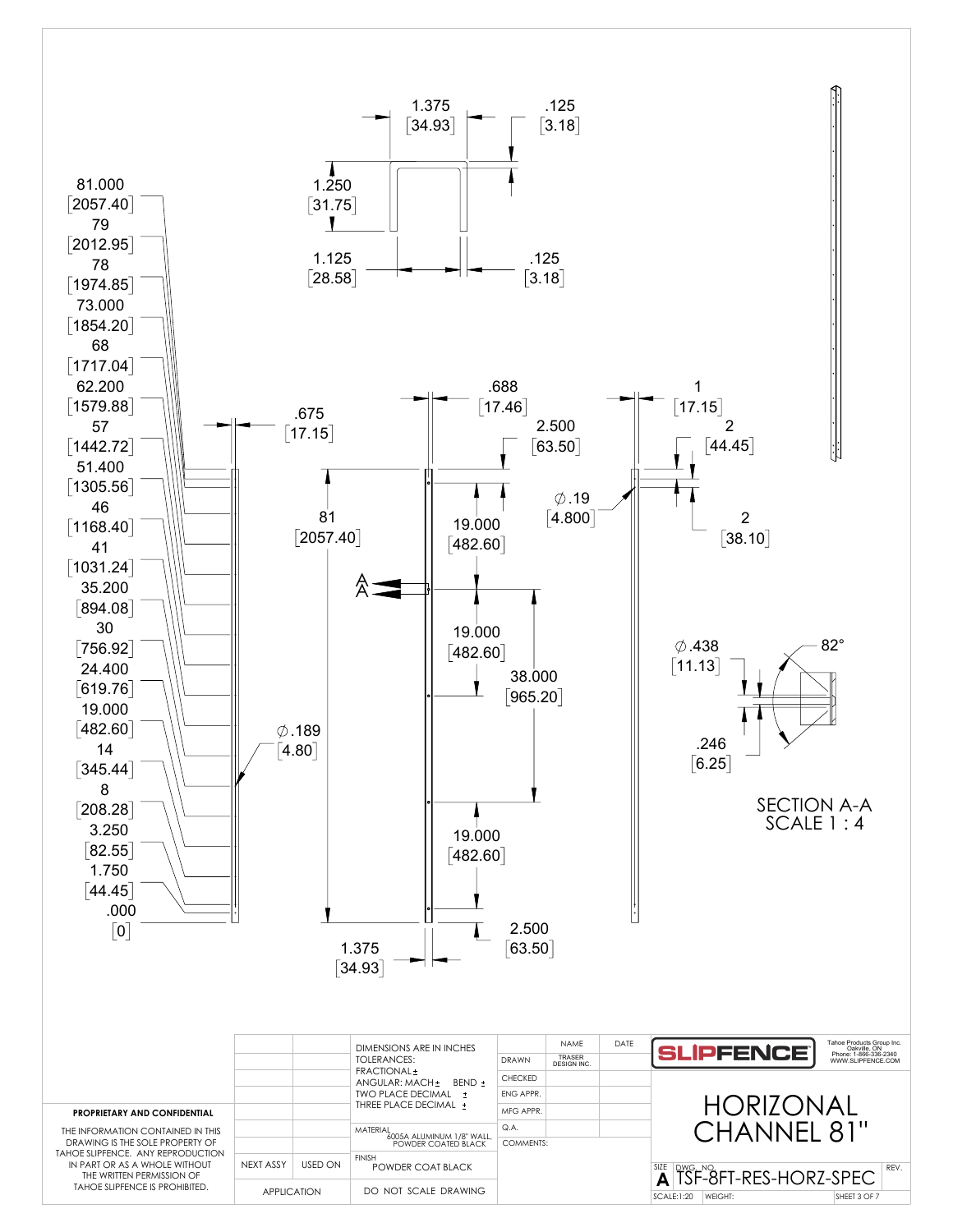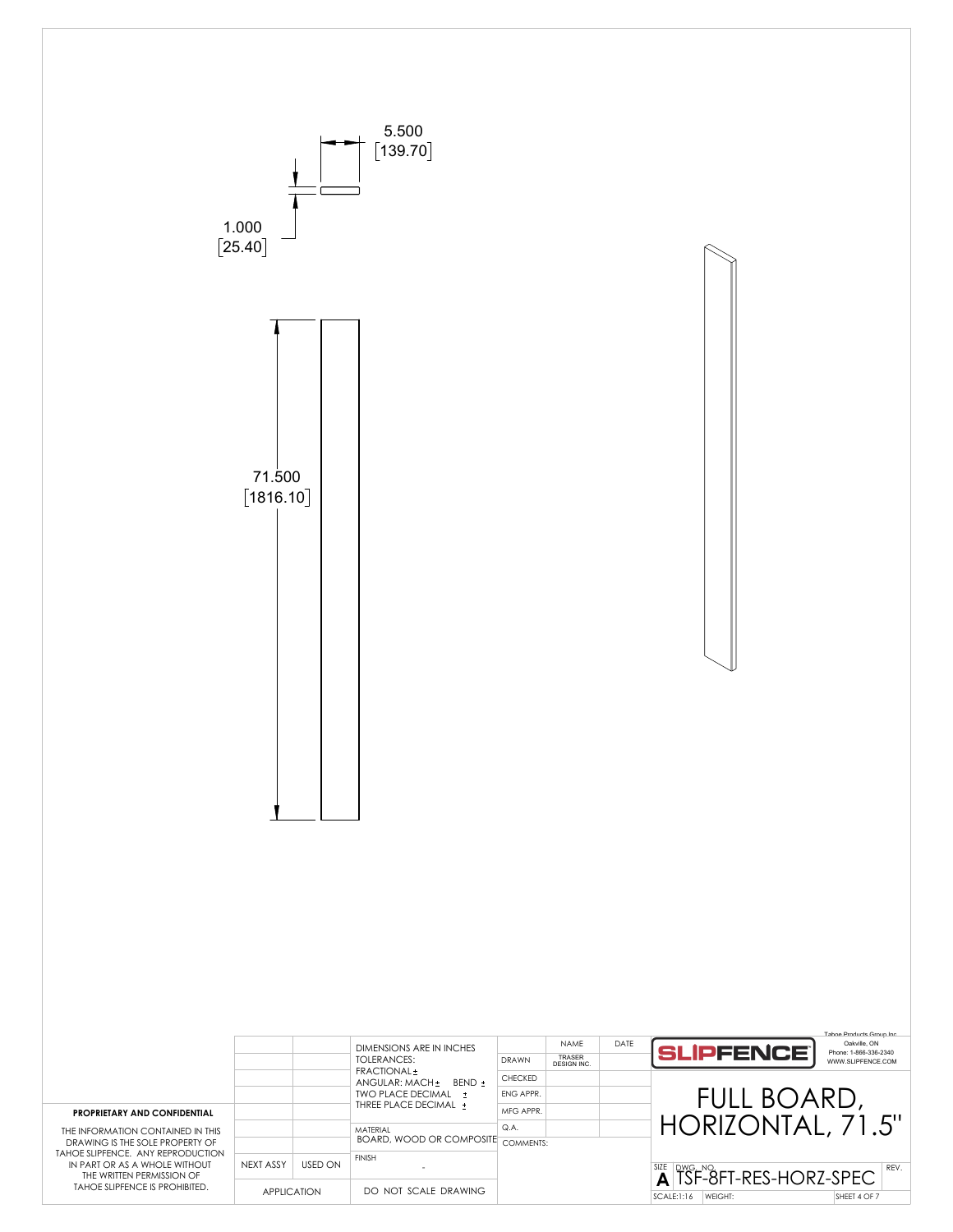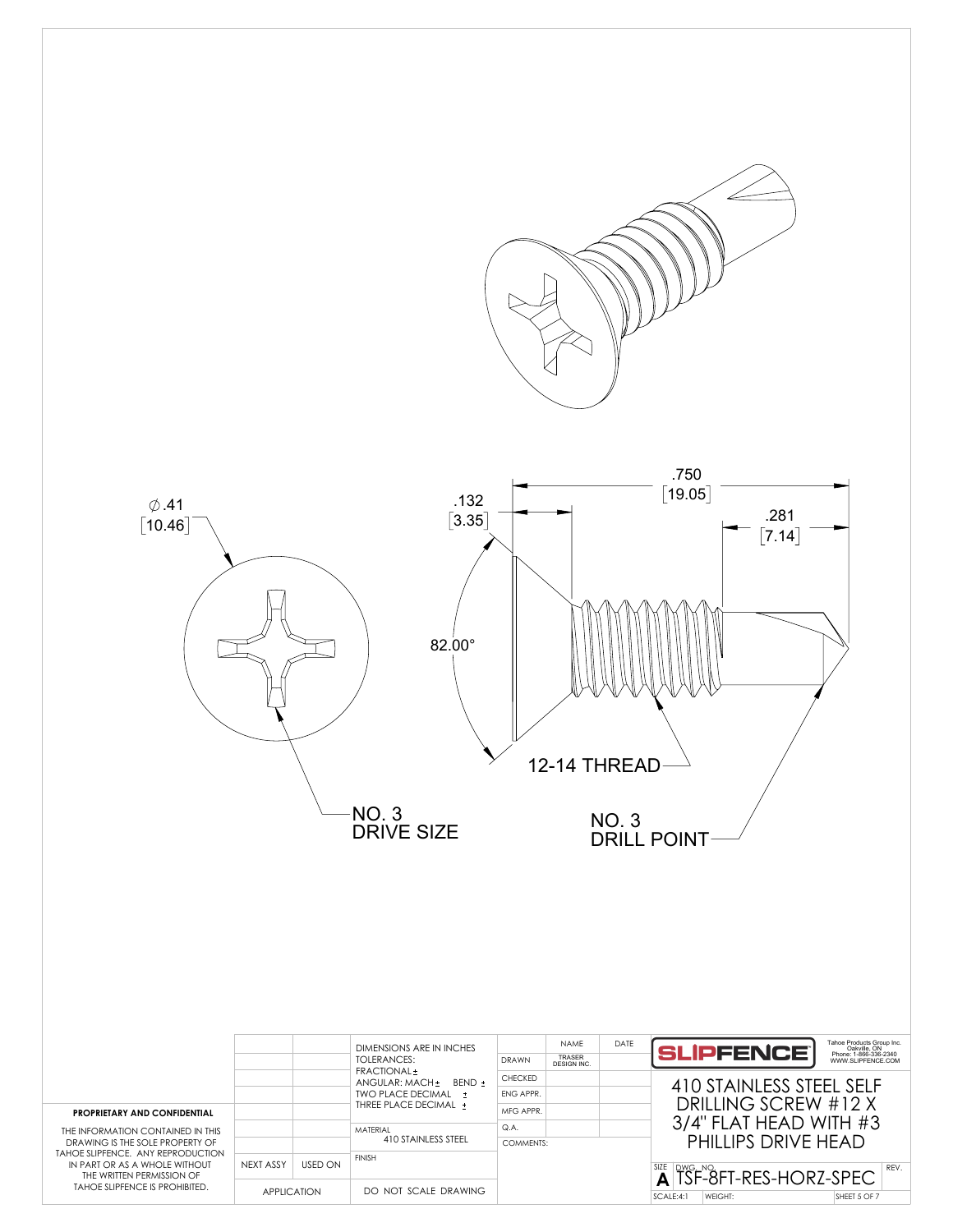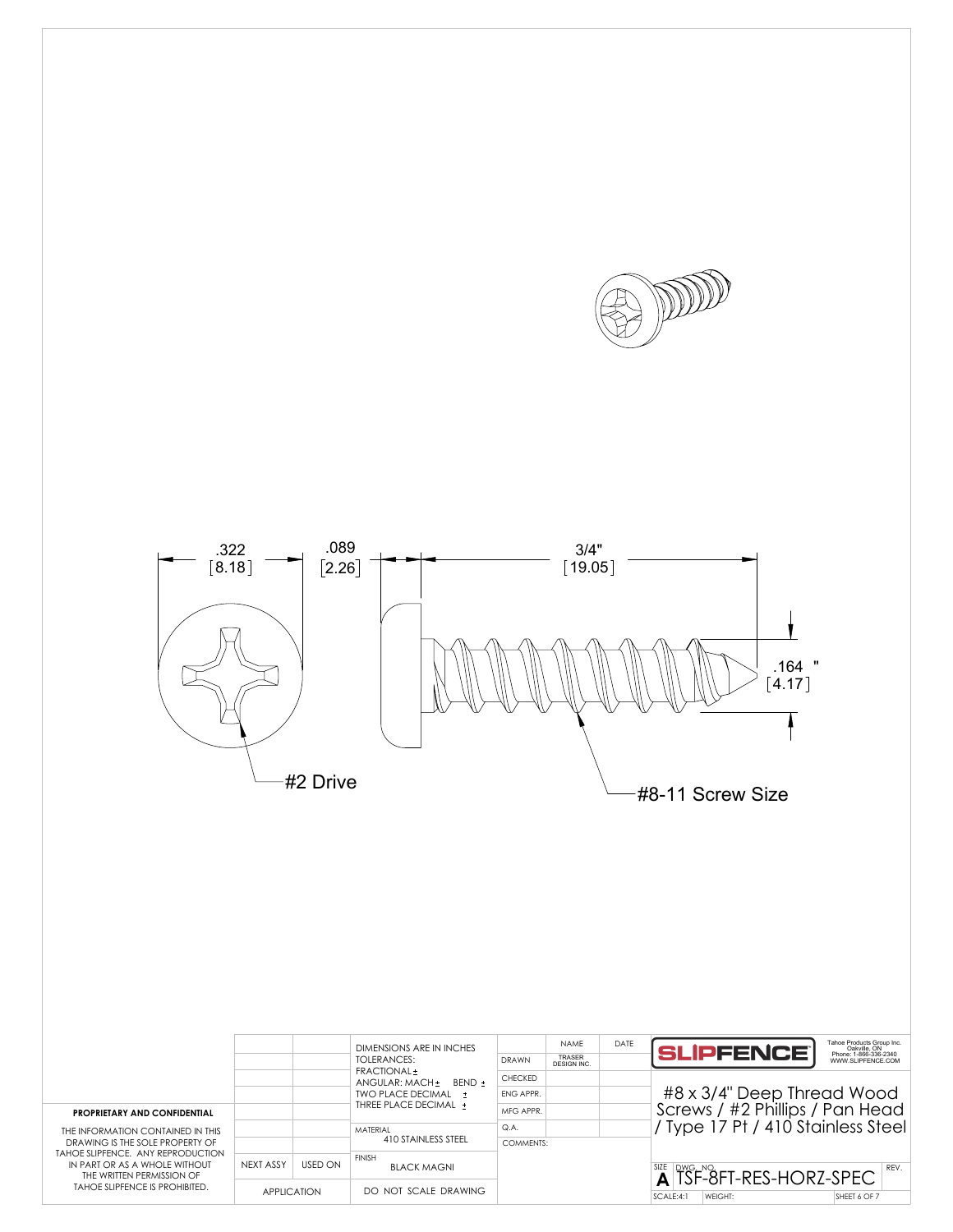



| <b>PROPRIETARY AND CONFIDENTIAL</b><br>THE INFORMATION CONTAINED IN THIS<br>DRAWING IS THE SOLE PROPERTY OF<br>TAHOE SLIPFENCE. ANY REPRODUCTION<br>IN PART OR AS A WHOLE WITHOUT<br>THE WRITTEN PERMISSION OF<br>TAHOE SLIPFENCE IS PROHIBITED. |                    |         | DIMENSIONS ARE IN INCHES<br>TOI FRANCES:<br>FRACTIONAL ±<br>ANGULAR: MACH ±<br>BFND +<br>TWO PLACE DECIMAL +<br>THREE PLACE DECIMAL + | <b>DRAWN</b>   | <b>NAMF</b><br>TRASER<br>DESIGN INC. | DATE | Tahoe Products Group Inc.<br>Oakville, ON<br>Phone: 1-866-336-2340<br>WWW.SLIPFENCE.COM<br><b>SLIPFENCE</b> |
|--------------------------------------------------------------------------------------------------------------------------------------------------------------------------------------------------------------------------------------------------|--------------------|---------|---------------------------------------------------------------------------------------------------------------------------------------|----------------|--------------------------------------|------|-------------------------------------------------------------------------------------------------------------|
|                                                                                                                                                                                                                                                  |                    |         |                                                                                                                                       | <b>CHECKED</b> |                                      |      | #8 x 3/4" Deep Thread Wood<br>Screws / #2 Phillips / Pan Head<br>Type 17 Pt / 410 Stainless Steel           |
|                                                                                                                                                                                                                                                  |                    |         |                                                                                                                                       | FNG APPR.      |                                      |      |                                                                                                             |
|                                                                                                                                                                                                                                                  |                    |         |                                                                                                                                       | MFG APPR.      |                                      |      |                                                                                                             |
|                                                                                                                                                                                                                                                  |                    |         | MATFRIAL<br>410 STAINLESS STEEL                                                                                                       | Q.A.           |                                      |      |                                                                                                             |
|                                                                                                                                                                                                                                                  |                    |         |                                                                                                                                       | COMMENTS:      |                                      |      |                                                                                                             |
|                                                                                                                                                                                                                                                  | NEXT ASSY          | USED ON | <b>FINISH</b><br><b>BLACK MAGNI</b>                                                                                                   |                |                                      |      | $\frac{SSE}{AB}$ SF-8FT-RES-HORZ-SPEC<br>REV.                                                               |
|                                                                                                                                                                                                                                                  | <b>APPLICATION</b> |         | DO NOT SCALE DRAWING                                                                                                                  |                |                                      |      | SCALE:4:1<br>SHEET 6 OF 7<br>WEIGHT:                                                                        |